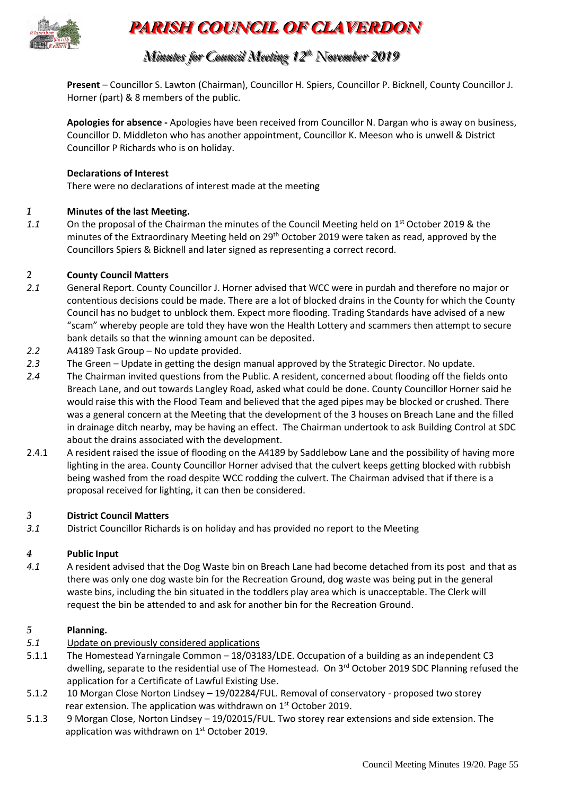

# **PARISH COUNCIL OF CLAVERDON**

# *Minutes for Council Meeting 12 t thh November 2019*

**Present** – Councillor S. Lawton (Chairman), Councillor H. Spiers, Councillor P. Bicknell, County Councillor J. Horner (part) & 8 members of the public.

**Apologies for absence -** Apologies have been received from Councillor N. Dargan who is away on business, Councillor D. Middleton who has another appointment, Councillor K. Meeson who is unwell & District Councillor P Richards who is on holiday.

# **Declarations of Interest**

There were no declarations of interest made at the meeting

### *1* **Minutes of the last Meeting.**

1.1 On the proposal of the Chairman the minutes of the Council Meeting held on 1<sup>st</sup> October 2019 & the minutes of the Extraordinary Meeting held on 29<sup>th</sup> October 2019 were taken as read, approved by the Councillors Spiers & Bicknell and later signed as representing a correct record.

## *2* **County Council Matters**

- *2.1* General Report. County Councillor J. Horner advised that WCC were in purdah and therefore no major or contentious decisions could be made. There are a lot of blocked drains in the County for which the County Council has no budget to unblock them. Expect more flooding. Trading Standards have advised of a new "scam" whereby people are told they have won the Health Lottery and scammers then attempt to secure bank details so that the winning amount can be deposited.
- *2.2* A4189 Task Group No update provided.
- *2.3* The Green Update in getting the design manual approved by the Strategic Director. No update.
- *2.4* The Chairman invited questions from the Public. A resident, concerned about flooding off the fields onto Breach Lane, and out towards Langley Road, asked what could be done. County Councillor Horner said he would raise this with the Flood Team and believed that the aged pipes may be blocked or crushed. There was a general concern at the Meeting that the development of the 3 houses on Breach Lane and the filled in drainage ditch nearby, may be having an effect. The Chairman undertook to ask Building Control at SDC about the drains associated with the development.
- 2.4.1 A resident raised the issue of flooding on the A4189 by Saddlebow Lane and the possibility of having more lighting in the area. County Councillor Horner advised that the culvert keeps getting blocked with rubbish being washed from the road despite WCC rodding the culvert. The Chairman advised that if there is a proposal received for lighting, it can then be considered.

#### *3* **District Council Matters**

*3.1* District Councillor Richards is on holiday and has provided no report to the Meeting

#### *4* **Public Input**

*4.1* A resident advised that the Dog Waste bin on Breach Lane had become detached from its post and that as there was only one dog waste bin for the Recreation Ground, dog waste was being put in the general waste bins, including the bin situated in the toddlers play area which is unacceptable. The Clerk will request the bin be attended to and ask for another bin for the Recreation Ground.

#### *5* **Planning.**

- *5.1* Update on previously considered applications
- 5.1.1 The Homestead Yarningale Common 18/03183/LDE. Occupation of a building as an independent C3 dwelling, separate to the residential use of The Homestead. On 3<sup>rd</sup> October 2019 SDC Planning refused the application for a Certificate of Lawful Existing Use.
- 5.1.2 10 Morgan Close Norton Lindsey 19/02284/FUL. Removal of conservatory proposed two storey rear extension. The application was withdrawn on 1<sup>st</sup> October 2019.
- 5.1.3 9 Morgan Close, Norton Lindsey 19/02015/FUL. Two storey rear extensions and side extension. The application was withdrawn on 1<sup>st</sup> October 2019.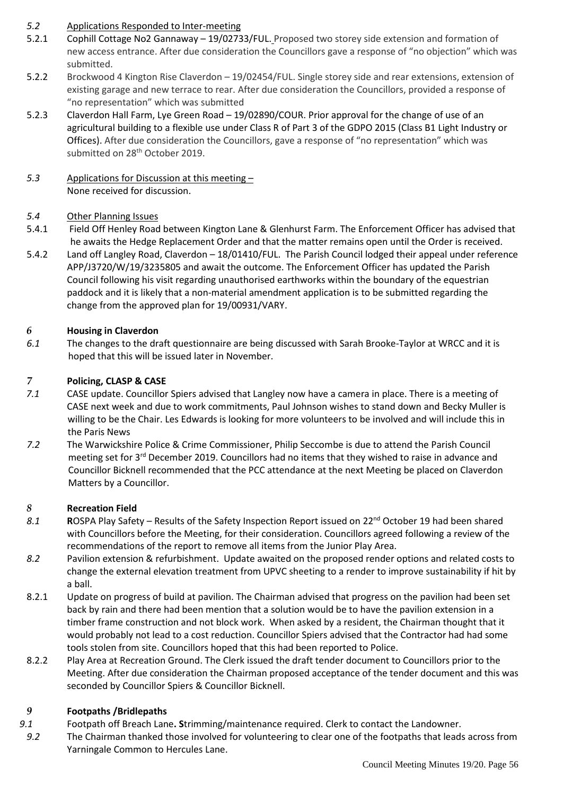# *5.2* Applications Responded to Inter-meeting

- 5.2.1 Cophill Cottage No2 Gannaway 19/02733/FUL. Proposed two storey side extension and formation of new access entrance. After due consideration the Councillors gave a response of "no objection" which was submitted.
- 5.2.2 Brockwood 4 Kington Rise Claverdon 19/02454/FUL. Single storey side and rear extensions, extension of existing garage and new terrace to rear. After due consideration the Councillors, provided a response of "no representation" which was submitted
- 5.2.3 Claverdon Hall Farm, Lye Green Road 19/02890/COUR. Prior approval for the change of use of an agricultural building to a flexible use under Class R of Part 3 of the GDPO 2015 (Class B1 Light Industry or Offices). After due consideration the Councillors, gave a response of "no representation" which was submitted on 28<sup>th</sup> October 2019.
- *5.3* Applications for Discussion at this meeting None received for discussion.

# *5.4* Other Planning Issues

- 5.4.1 Field Off Henley Road between Kington Lane & Glenhurst Farm. The Enforcement Officer has advised that he awaits the Hedge Replacement Order and that the matter remains open until the Order is received.
- 5.4.2 Land off Langley Road, Claverdon 18/01410/FUL. The Parish Council lodged their appeal under reference APP/J3720/W/19/3235805 and await the outcome. The Enforcement Officer has updated the Parish Council following his visit regarding unauthorised earthworks within the boundary of the equestrian paddock and it is likely that a non-material amendment application is to be submitted regarding the change from the approved plan for 19/00931/VARY.

# *6* **Housing in Claverdon**

*6.1* The changes to the draft questionnaire are being discussed with Sarah Brooke-Taylor at WRCC and it is hoped that this will be issued later in November.

# *7* **Policing, CLASP & CASE**

- *7.1* CASE update. Councillor Spiers advised that Langley now have a camera in place. There is a meeting of CASE next week and due to work commitments, Paul Johnson wishes to stand down and Becky Muller is willing to be the Chair. Les Edwards is looking for more volunteers to be involved and will include this in the Paris News
- *7.2* The Warwickshire Police & Crime Commissioner, Philip Seccombe is due to attend the Parish Council meeting set for  $3^{rd}$  December 2019. Councillors had no items that they wished to raise in advance and Councillor Bicknell recommended that the PCC attendance at the next Meeting be placed on Claverdon Matters by a Councillor.

# *8* **Recreation Field**

- 8.1 **ROSPA Play Safety Results of the Safety Inspection Report issued on 22<sup>nd</sup> October 19 had been shared** with Councillors before the Meeting, for their consideration. Councillors agreed following a review of the recommendations of the report to remove all items from the Junior Play Area.
- *8.2* Pavilion extension & refurbishment. Update awaited on the proposed render options and related costs to change the external elevation treatment from UPVC sheeting to a render to improve sustainability if hit by a ball.
- 8.2.1 Update on progress of build at pavilion. The Chairman advised that progress on the pavilion had been set back by rain and there had been mention that a solution would be to have the pavilion extension in a timber frame construction and not block work. When asked by a resident, the Chairman thought that it would probably not lead to a cost reduction. Councillor Spiers advised that the Contractor had had some tools stolen from site. Councillors hoped that this had been reported to Police.
- 8.2.2 Play Area at Recreation Ground. The Clerk issued the draft tender document to Councillors prior to the Meeting. After due consideration the Chairman proposed acceptance of the tender document and this was seconded by Councillor Spiers & Councillor Bicknell.

# *9* **Footpaths /Bridlepaths**

- *9.1* Footpath off Breach Lane**. S**trimming/maintenance required. Clerk to contact the Landowner.
- *9.2* The Chairman thanked those involved for volunteering to clear one of the footpaths that leads across from Yarningale Common to Hercules Lane.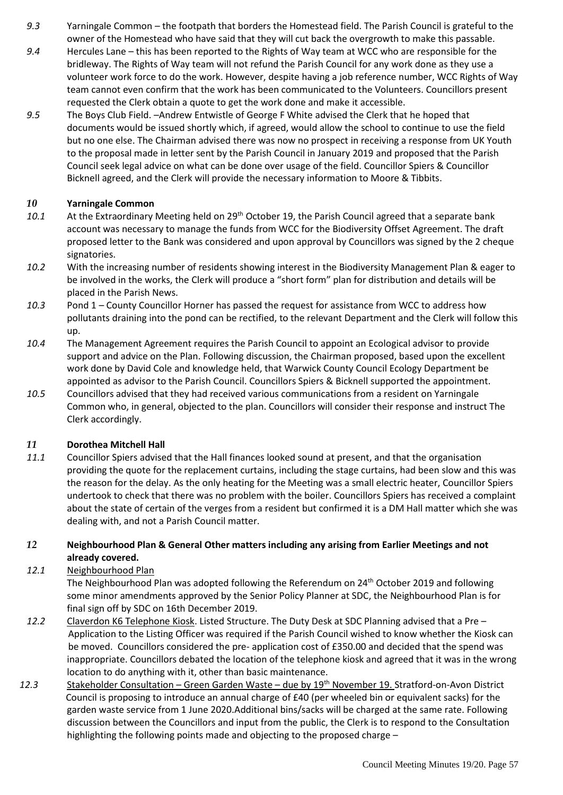- *9.3* Yarningale Common the footpath that borders the Homestead field. The Parish Council is grateful to the owner of the Homestead who have said that they will cut back the overgrowth to make this passable.
- *9.4* Hercules Lane this has been reported to the Rights of Way team at WCC who are responsible for the bridleway. The Rights of Way team will not refund the Parish Council for any work done as they use a volunteer work force to do the work. However, despite having a job reference number, WCC Rights of Way team cannot even confirm that the work has been communicated to the Volunteers. Councillors present requested the Clerk obtain a quote to get the work done and make it accessible.
- *9.5* The Boys Club Field. –Andrew Entwistle of George F White advised the Clerk that he hoped that documents would be issued shortly which, if agreed, would allow the school to continue to use the field but no one else. The Chairman advised there was now no prospect in receiving a response from UK Youth to the proposal made in letter sent by the Parish Council in January 2019 and proposed that the Parish Council seek legal advice on what can be done over usage of the field. Councillor Spiers & Councillor Bicknell agreed, and the Clerk will provide the necessary information to Moore & Tibbits.

# *10* **Yarningale Common**

- 10.1 At the Extraordinary Meeting held on 29<sup>th</sup> October 19, the Parish Council agreed that a separate bank account was necessary to manage the funds from WCC for the Biodiversity Offset Agreement. The draft proposed letter to the Bank was considered and upon approval by Councillors was signed by the 2 cheque signatories.
- *10.2* With the increasing number of residents showing interest in the Biodiversity Management Plan & eager to be involved in the works, the Clerk will produce a "short form" plan for distribution and details will be placed in the Parish News.
- *10.3* Pond 1 County Councillor Horner has passed the request for assistance from WCC to address how pollutants draining into the pond can be rectified, to the relevant Department and the Clerk will follow this up.
- *10.4* The Management Agreement requires the Parish Council to appoint an Ecological advisor to provide support and advice on the Plan. Following discussion, the Chairman proposed, based upon the excellent work done by David Cole and knowledge held, that Warwick County Council Ecology Department be appointed as advisor to the Parish Council. Councillors Spiers & Bicknell supported the appointment.
- *10.5* Councillors advised that they had received various communications from a resident on Yarningale Common who, in general, objected to the plan. Councillors will consider their response and instruct The Clerk accordingly.

# *11* **Dorothea Mitchell Hall**

*11.1* Councillor Spiers advised that the Hall finances looked sound at present, and that the organisation providing the quote for the replacement curtains, including the stage curtains, had been slow and this was the reason for the delay. As the only heating for the Meeting was a small electric heater, Councillor Spiers undertook to check that there was no problem with the boiler. Councillors Spiers has received a complaint about the state of certain of the verges from a resident but confirmed it is a DM Hall matter which she was dealing with, and not a Parish Council matter.

# *12* **Neighbourhood Plan & General Other matters including any arising from Earlier Meetings and not already covered.**

# *12.1* Neighbourhood Plan

The Neighbourhood Plan was adopted following the Referendum on 24<sup>th</sup> October 2019 and following some minor amendments approved by the Senior Policy Planner at SDC, the Neighbourhood Plan is for final sign off by SDC on 16th December 2019.

- *12.2* Claverdon K6 Telephone Kiosk. Listed Structure. The Duty Desk at SDC Planning advised that a Pre Application to the Listing Officer was required if the Parish Council wished to know whether the Kiosk can be moved. Councillors considered the pre- application cost of £350.00 and decided that the spend was inappropriate. Councillors debated the location of the telephone kiosk and agreed that it was in the wrong location to do anything with it, other than basic maintenance.
- *12.3* Stakeholder Consultation Green Garden Waste due by 19th November 19. Stratford-on-Avon District Council is proposing to introduce an annual charge of £40 (per wheeled bin or equivalent sacks) for the garden waste service from 1 June 2020.Additional bins/sacks will be charged at the same rate. Following discussion between the Councillors and input from the public, the Clerk is to respond to the Consultation highlighting the following points made and objecting to the proposed charge –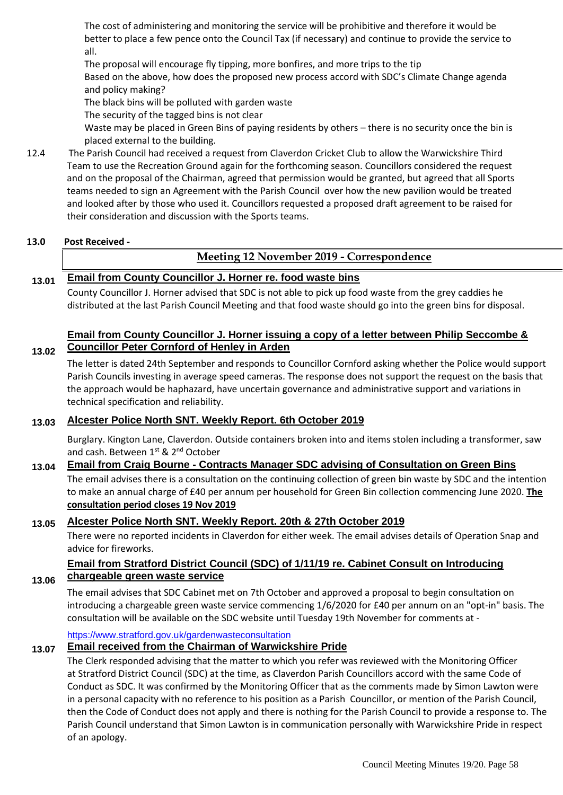The cost of administering and monitoring the service will be prohibitive and therefore it would be better to place a few pence onto the Council Tax (if necessary) and continue to provide the service to all.

The proposal will encourage fly tipping, more bonfires, and more trips to the tip

Based on the above, how does the proposed new process accord with SDC's Climate Change agenda and policy making?

The black bins will be polluted with garden waste

The security of the tagged bins is not clear

Waste may be placed in Green Bins of paying residents by others – there is no security once the bin is placed external to the building.

12.4 The Parish Council had received a request from Claverdon Cricket Club to allow the Warwickshire Third Team to use the Recreation Ground again for the forthcoming season. Councillors considered the request and on the proposal of the Chairman, agreed that permission would be granted, but agreed that all Sports teams needed to sign an Agreement with the Parish Council over how the new pavilion would be treated and looked after by those who used it. Councillors requested a proposed draft agreement to be raised for their consideration and discussion with the Sports teams.

### **13.0 Post Received -**

**13.02**

# **Meeting 12 November 2019 - Correspondence**

# **13.01 Email from County Councillor J. Horner re. food waste bins**

County Councillor J. Horner advised that SDC is not able to pick up food waste from the grey caddies he distributed at the last Parish Council Meeting and that food waste should go into the green bins for disposal.

# **Email from County Councillor J. Horner issuing a copy of a letter between Philip Seccombe & Councillor Peter Cornford of Henley in Arden**

The letter is dated 24th September and responds to Councillor Cornford asking whether the Police would support Parish Councils investing in average speed cameras. The response does not support the request on the basis that the approach would be haphazard, have uncertain governance and administrative support and variations in technical specification and reliability.

# **13.03 Alcester Police North SNT. Weekly Report. 6th October 2019**

Burglary. Kington Lane, Claverdon. Outside containers broken into and items stolen including a transformer, saw and cash. Between 1st & 2<sup>nd</sup> October

# **13.04 Email from Craig Bourne - Contracts Manager SDC advising of Consultation on Green Bins**

The email advises there is a consultation on the continuing collection of green bin waste by SDC and the intention to make an annual charge of £40 per annum per household for Green Bin collection commencing June 2020. **The consultation period closes 19 Nov 2019**

# **13.05 Alcester Police North SNT. Weekly Report. 20th & 27th October 2019**

There were no reported incidents in Claverdon for either week. The email advises details of Operation Snap and advice for fireworks.

#### **13.06 Email from Stratford District Council (SDC) of 1/11/19 re. Cabinet Consult on Introducing chargeable green waste service**

The email advises that SDC Cabinet met on 7th October and approved a proposal to begin consultation on introducing a chargeable green waste service commencing 1/6/2020 for £40 per annum on an "opt-in" basis. The consultation will be available on the SDC website until Tuesday 19th November for comments at -

<https://www.stratford.gov.uk/gardenwasteconsultation>

# **13.07 Email received from the Chairman of Warwickshire Pride**

The Clerk responded advising that the matter to which you refer was reviewed with the Monitoring Officer at Stratford District Council (SDC) at the time, as Claverdon Parish Councillors accord with the same Code of Conduct as SDC. It was confirmed by the Monitoring Officer that as the comments made by Simon Lawton were in a personal capacity with no reference to his position as a Parish Councillor, or mention of the Parish Council, then the Code of Conduct does not apply and there is nothing for the Parish Council to provide a response to. The Parish Council understand that Simon Lawton is in communication personally with Warwickshire Pride in respect of an apology.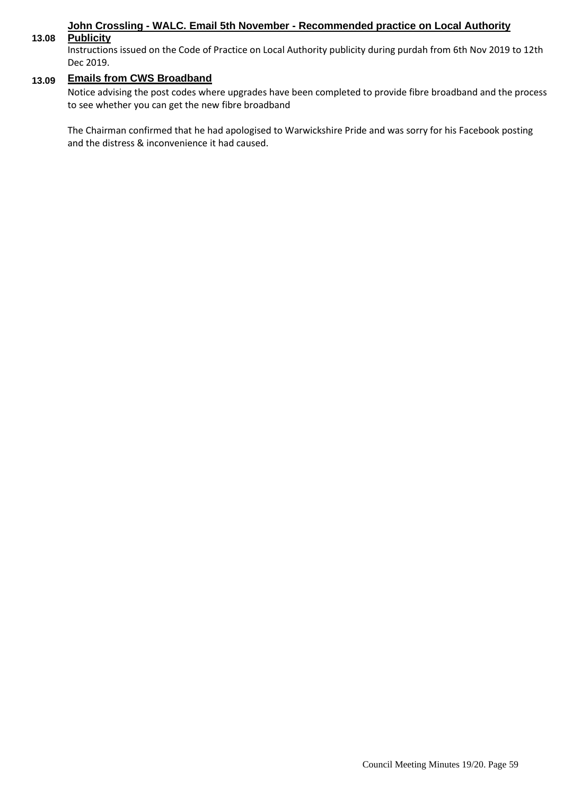# **John Crossling - WALC. Email 5th November - Recommended practice on Local Authority**

#### **13.08 Publicity**

Instructions issued on the Code of Practice on Local Authority publicity during purdah from 6th Nov 2019 to 12th Dec 2019.

# **13.09 Emails from CWS Broadband**

Notice advising the post codes where upgrades have been completed to provide fibre broadband and the process to see whether you can get the new fibre broadband

The Chairman confirmed that he had apologised to Warwickshire Pride and was sorry for his Facebook posting and the distress & inconvenience it had caused.